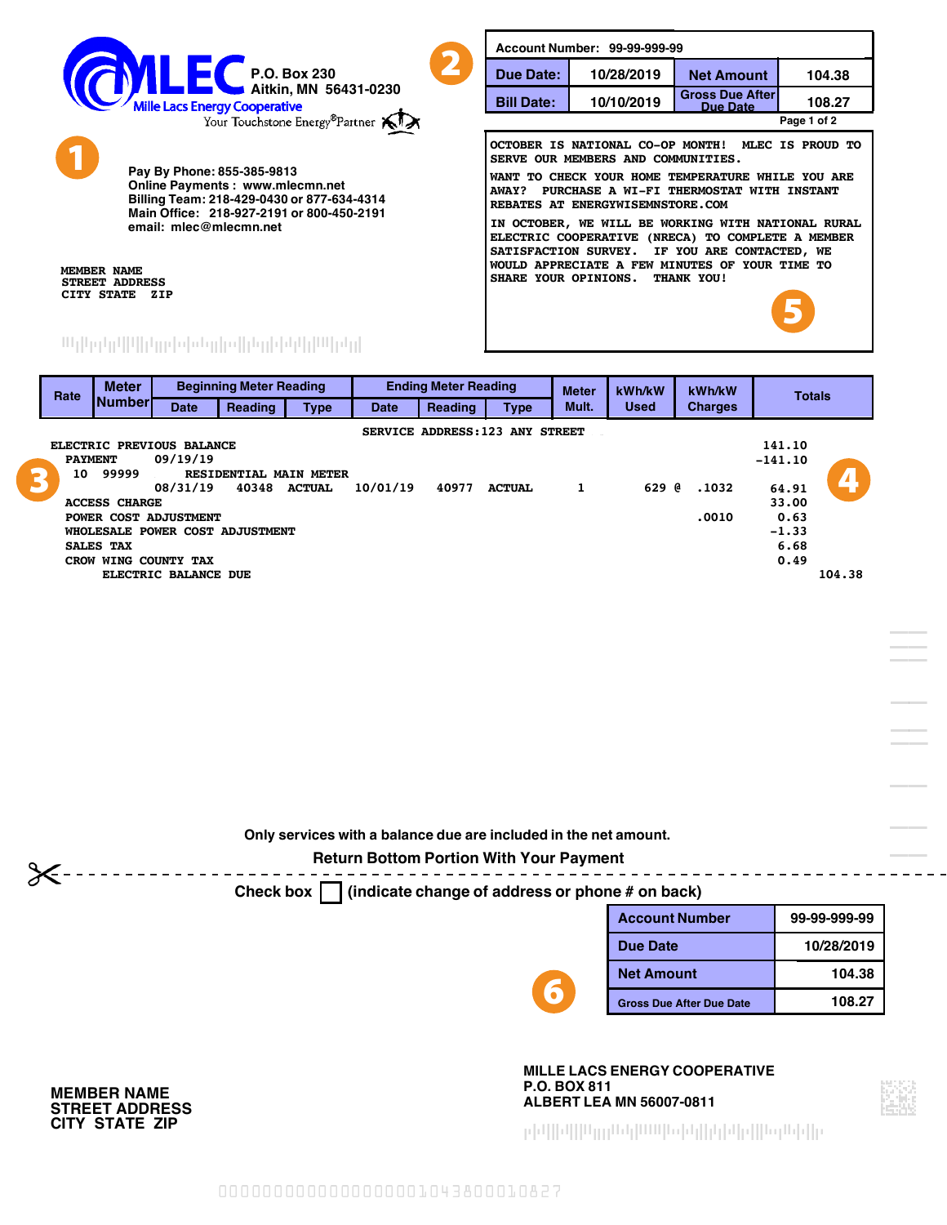

**Online Payments : www.mlecmn.net**

**Billing Team: 218-429-0430 or 877-634-4314**

**Main Office: 218-927-2191 or 800-450-2191**

**email: mlec@mlecmn.net**

**Pay By Phone: 855-385-9813**

--------------------------------

**108.27 Bill Date: REBATES AT ENERGYWISEMNSTORE.COM SHARE YOUR OPINIONS. THANK YOU! SERVE OUR MEMBERS AND COMMUNITIES. SATISFACTION SURVEY. IF YOU ARE CONTACTED, WE WOULD APPRECIATE A FEW MINUTES OF YOUR TIME TO AWAY? PURCHASE A WI-FI THERMOSTAT WITH INSTANT ELECTRIC COOPERATIVE (NRECA) TO COMPLETE A MEMBER WANT TO CHECK YOUR HOME TEMPERATURE WHILE YOU ARE OCTOBER IS NATIONAL CO-OP MONTH! MLEC IS PROUD TO IN OCTOBER, WE WILL BE WORKING WITH NATIONAL RURAL Due Date: 10/28/2019 Account Number: 99-99-999-99 10/10/2019 Gross Due After Due Date Net Amount Page 1 of 2 104.38** 2 5

**STREET ADDRESS CITY STATE ZIP**

**MEMBER NAME**

1

#### **Number Meter Date Reading Beginning Meter Reading SALES TAX ACCESS CHARGE Type Date PAYMENT 09/19/19 Reading CROW WING COUNTY TAX Ending Meter Reading 08/31/19 40348 ACTUAL 10/01/19 40977 ACTUAL 1 629 @ .1032 Type ELECTRIC PREVIOUS BALANCE ELECTRIC BALANCE DUE -141.10 104.38 WHOLESALE POWER COST ADJUSTMENT 10 99999 99999 RESIDENTIAL MAIN METER SERVICE ADDRESS: 123 ANY STREET 6.68 POWER COST ADJUSTMENT .0010 Rate 0.49 Used Meter Mult. kWh/kW 141.10 Charges Totals kWh/kW -1.33 33.00 64.91 0.63** 3 10 99999 RESIDENTIAL MAIN METER<br>08/31/19 40348 ACTUAL 10/01/19 40977 ACTUAL 1 629 @.1032 64.91

**Only services with a balance due are included in the net amount.**

## **Return Bottom Portion With Your Payment**

**Check box (indicate change of address or phone # on back)**

6

| <b>Account Number</b>           | 99-99-999-99 |  |
|---------------------------------|--------------|--|
| Due Date                        | 10/28/2019   |  |
| <b>Net Amount</b>               | 104.38       |  |
| <b>Gross Due After Due Date</b> | 108.27       |  |
|                                 |              |  |

**P.O. BOX 811 ALBERT LEA MN 56007-0811 MILLE LACS ENERGY COOPERATIVE**

--------------------------------



**CITY STATE ZIP STREET ADDRESS MEMBER NAME**